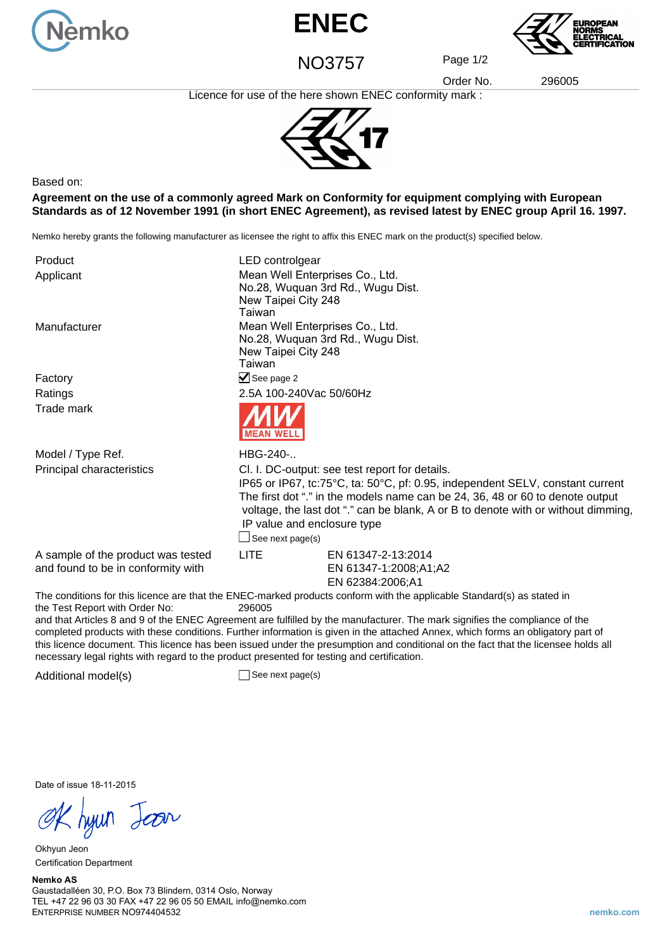





NO3757 Page 1/2

Order No. 296005

Licence for use of the here shown ENEC conformity mark :



Based on:

**Agreement on the use of a commonly agreed Mark on Conformity for equipment complying with European Standards as of 12 November 1991 (in short ENEC Agreement), as revised latest by ENEC group April 16. 1997.**

Nemko hereby grants the following manufacturer as licensee the right to affix this ENEC mark on the product(s) specified below.

| Product                                                                  | LED controlgear                                                                                                                                                                                                                                                                                                                                          |                                                                                                                        |
|--------------------------------------------------------------------------|----------------------------------------------------------------------------------------------------------------------------------------------------------------------------------------------------------------------------------------------------------------------------------------------------------------------------------------------------------|------------------------------------------------------------------------------------------------------------------------|
| Applicant                                                                | Mean Well Enterprises Co., Ltd.<br>No.28, Wuquan 3rd Rd., Wugu Dist.<br>New Taipei City 248<br>Taiwan                                                                                                                                                                                                                                                    |                                                                                                                        |
| Manufacturer                                                             | Mean Well Enterprises Co., Ltd.<br>No.28, Wuquan 3rd Rd., Wugu Dist.<br>New Taipei City 248<br>Taiwan                                                                                                                                                                                                                                                    |                                                                                                                        |
| Factory                                                                  | $\triangleright$ See page 2                                                                                                                                                                                                                                                                                                                              |                                                                                                                        |
| Ratings                                                                  | 2.5A 100-240Vac 50/60Hz                                                                                                                                                                                                                                                                                                                                  |                                                                                                                        |
| Trade mark                                                               |                                                                                                                                                                                                                                                                                                                                                          |                                                                                                                        |
| Model / Type Ref.                                                        | HBG-240-                                                                                                                                                                                                                                                                                                                                                 |                                                                                                                        |
| Principal characteristics                                                | Cl. I. DC-output: see test report for details.<br>IP65 or IP67, tc:75°C, ta: 50°C, pf: 0.95, independent SELV, constant current<br>The first dot "." in the models name can be 24, 36, 48 or 60 to denote output<br>voltage, the last dot "." can be blank, A or B to denote with or without dimming,<br>IP value and enclosure type<br>See next page(s) |                                                                                                                        |
| A sample of the product was tested<br>and found to be in conformity with | <b>LITE</b>                                                                                                                                                                                                                                                                                                                                              | EN 61347-2-13:2014<br>EN 61347-1:2008;A1;A2<br>EN 62384:2006;A1                                                        |
|                                                                          |                                                                                                                                                                                                                                                                                                                                                          | The conditions for this licence are that the ENEC-marked products conform with the applicable Standard(s) as stated in |

the Test Report with Order No: 296005

and that Articles 8 and 9 of the ENEC Agreement are fulfilled by the manufacturer. The mark signifies the compliance of the completed products with these conditions. Further information is given in the attached Annex, which forms an obligatory part of this licence document. This licence has been issued under the presumption and conditional on the fact that the licensee holds all necessary legal rights with regard to the product presented for testing and certification.

Additional model(s) See next page(s)

Date of issue 18-11-2015

Okhyun Jeon Certification Department

## **Nemko AS**

Gaustadalléen 30, P.O. Box 73 Blindern, 0314 Oslo, Norway TEL +47 22 96 03 30 FAX +47 22 96 05 50 EMAIL info@nemko.com ENTERPRISE NUMBER NO974404532 **nemko.com**